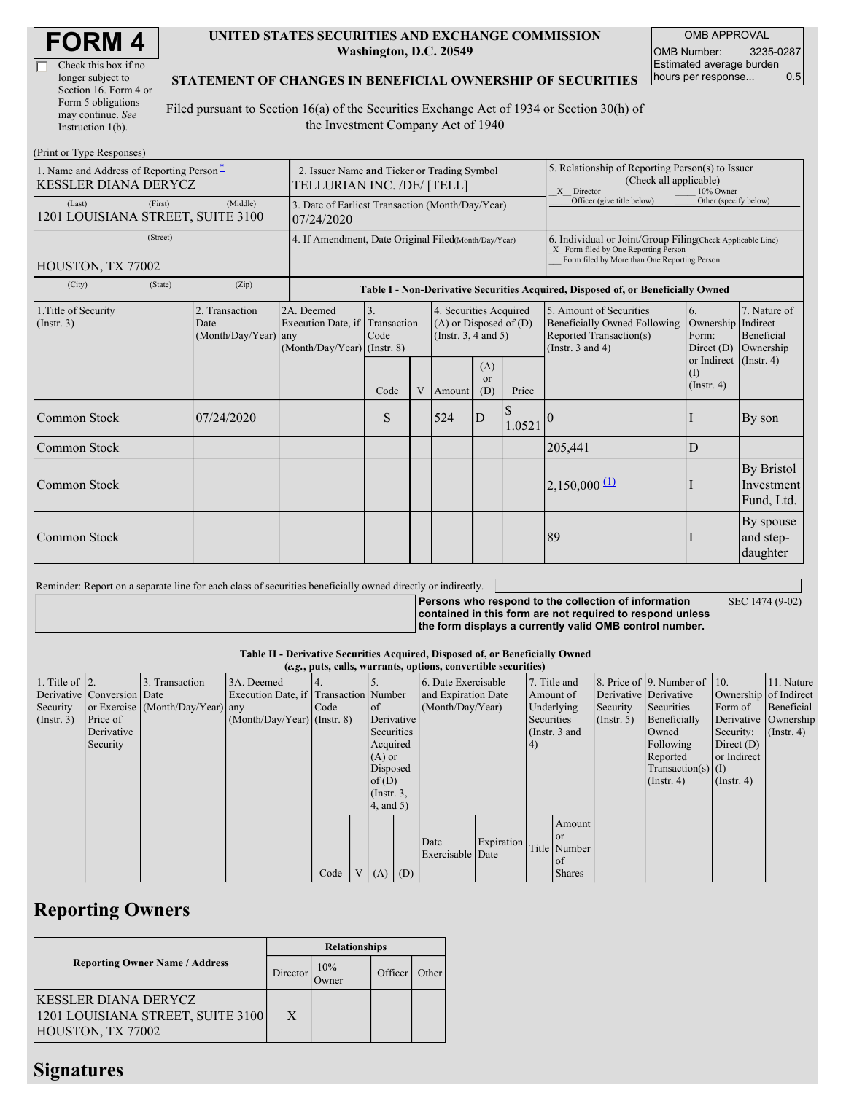| Check this box if no  |
|-----------------------|
| longer subject to     |
| Section 16. Form 4 or |
| Form 5 obligations    |
| may continue. See     |
| Instruction 1(b).     |

### **UNITED STATES SECURITIES AND EXCHANGE COMMISSION Washington, D.C. 20549**

OMB APPROVAL OMB Number: 3235-0287 Estimated average burden hours per response... 0.5

## **STATEMENT OF CHANGES IN BENEFICIAL OWNERSHIP OF SECURITIES**

Filed pursuant to Section 16(a) of the Securities Exchange Act of 1934 or Section 30(h) of the Investment Company Act of 1940

| (Print or Type Responses)                                               |                                                |                                                                           |                           |   |                                                                             |                        |                         |                                                                                                                                                    |                                                   |                                                |
|-------------------------------------------------------------------------|------------------------------------------------|---------------------------------------------------------------------------|---------------------------|---|-----------------------------------------------------------------------------|------------------------|-------------------------|----------------------------------------------------------------------------------------------------------------------------------------------------|---------------------------------------------------|------------------------------------------------|
| 1. Name and Address of Reporting Person-<br><b>KESSLER DIANA DERYCZ</b> |                                                | 2. Issuer Name and Ticker or Trading Symbol<br>TELLURIAN INC. /DE/ [TELL] |                           |   |                                                                             |                        |                         | 5. Relationship of Reporting Person(s) to Issuer<br>(Check all applicable)<br>X Director                                                           | 10% Owner                                         |                                                |
| (First)<br>(Last)<br>1201 LOUISIANA STREET, SUITE 3100                  | (Middle)                                       | 3. Date of Earliest Transaction (Month/Day/Year)<br>07/24/2020            |                           |   |                                                                             |                        |                         | Officer (give title below)                                                                                                                         | Other (specify below)                             |                                                |
| (Street)                                                                |                                                | 4. If Amendment, Date Original Filed(Month/Day/Year)                      |                           |   |                                                                             |                        |                         | 6. Individual or Joint/Group Filing Check Applicable Line)<br>X Form filed by One Reporting Person<br>Form filed by More than One Reporting Person |                                                   |                                                |
| HOUSTON, TX 77002                                                       |                                                |                                                                           |                           |   |                                                                             |                        |                         |                                                                                                                                                    |                                                   |                                                |
| (City)<br>(State)                                                       | (Zip)                                          |                                                                           |                           |   |                                                                             |                        |                         | Table I - Non-Derivative Securities Acquired, Disposed of, or Beneficially Owned                                                                   |                                                   |                                                |
| 1. Title of Security<br>(Insert. 3)                                     | 2. Transaction<br>Date<br>(Month/Day/Year) any | 2A. Deemed<br>Execution Date, if<br>(Month/Day/Year) (Instr. 8)           | 3.<br>Transaction<br>Code |   | 4. Securities Acquired<br>$(A)$ or Disposed of $(D)$<br>(Instr. 3, 4 and 5) |                        |                         | 5. Amount of Securities<br>Beneficially Owned Following<br>Reported Transaction(s)<br>(Instr. $3$ and $4$ )                                        | 6.<br>Ownership Indirect<br>Form:<br>Direct $(D)$ | 7. Nature of<br><b>Beneficial</b><br>Ownership |
|                                                                         |                                                |                                                                           | Code                      | V | Amount                                                                      | (A)<br>$\alpha$<br>(D) | Price                   |                                                                                                                                                    | or Indirect (Instr. 4)<br>()<br>$($ Instr. 4 $)$  |                                                |
| Common Stock                                                            | 07/24/2020                                     |                                                                           | S                         |   | 524                                                                         | D                      | <sup>\$</sup><br>1.0521 |                                                                                                                                                    |                                                   | By son                                         |
| Common Stock                                                            |                                                |                                                                           |                           |   |                                                                             |                        |                         | 205,441                                                                                                                                            | D                                                 |                                                |
| Common Stock                                                            |                                                |                                                                           |                           |   |                                                                             |                        |                         | $2,150,000 \frac{11}{2}$                                                                                                                           |                                                   | <b>By Bristol</b><br>Investment<br>Fund, Ltd.  |
| Common Stock                                                            |                                                |                                                                           |                           |   |                                                                             |                        |                         | 89                                                                                                                                                 |                                                   | By spouse<br>and step-<br>daughter             |

Reminder: Report on a separate line for each class of securities beneficially owned directly or indirectly.

**Persons who respond to the collection of information contained in this form are not required to respond unless**

**the form displays a currently valid OMB control number.**

SEC 1474 (9-02)

**Table II - Derivative Securities Acquired, Disposed of, or Beneficially Owned (***e.g.***, puts, calls, warrants, options, convertible securities)**

|                        |                            |                                  |                                       |      |                 |                  | $(0.5, 0.005, 0.005, 0.0005, 0.00005, 0.0000, 0.0000, 0.0000, 0.0000, 0.0000, 0.0000, 0.0000, 0.0000, 0.0000, 0.0000, 0.0000, 0.0000, 0.0000, 0.0000, 0.0000, 0.0000, 0.0000, 0.0000, 0.0000, 0.0000, 0.0000, 0.0000, 0.0000,$ |            |              |                 |                       |                              |                       |                      |
|------------------------|----------------------------|----------------------------------|---------------------------------------|------|-----------------|------------------|--------------------------------------------------------------------------------------------------------------------------------------------------------------------------------------------------------------------------------|------------|--------------|-----------------|-----------------------|------------------------------|-----------------------|----------------------|
| 1. Title of $\vert$ 2. |                            | 3. Transaction                   | 3A. Deemed                            |      |                 |                  | 6. Date Exercisable                                                                                                                                                                                                            |            | 7. Title and |                 |                       | 8. Price of 9. Number of 10. |                       | 11. Nature           |
|                        | Derivative Conversion Date |                                  | Execution Date, if Transaction Number |      |                 |                  | and Expiration Date                                                                                                                                                                                                            |            | Amount of    |                 | Derivative Derivative |                              | Ownership of Indirect |                      |
| Security               |                            | or Exercise (Month/Day/Year) any |                                       | Code | <b>of</b>       |                  | (Month/Day/Year)                                                                                                                                                                                                               |            |              | Underlying      | Security              | Securities                   | Form of               | Beneficial           |
| (Insert. 3)            | <b>Price of</b>            |                                  | $(Month/Day/Year)$ (Instr. 8)         |      |                 | Derivative       |                                                                                                                                                                                                                                |            | Securities   |                 | $($ Instr. 5 $)$      | Beneficially                 |                       | Derivative Ownership |
|                        | Derivative                 |                                  |                                       |      |                 | Securities       |                                                                                                                                                                                                                                |            |              | (Instr. $3$ and |                       | Owned                        | Security:             | $($ Instr. 4)        |
|                        | Security                   |                                  |                                       |      |                 | Acquired         |                                                                                                                                                                                                                                |            | (4)          |                 |                       | Following                    | Direct $(D)$          |                      |
|                        |                            |                                  |                                       |      |                 | $(A)$ or         |                                                                                                                                                                                                                                |            |              |                 |                       | Reported                     | or Indirect           |                      |
|                        |                            |                                  |                                       |      |                 | Disposed         |                                                                                                                                                                                                                                |            |              |                 |                       | Transaction(s) $(I)$         |                       |                      |
|                        |                            |                                  |                                       |      |                 | of(D)            |                                                                                                                                                                                                                                |            |              |                 |                       | $($ Instr. 4)                | $($ Instr. 4 $)$      |                      |
|                        |                            |                                  |                                       |      |                 | $($ Instr. $3$ , |                                                                                                                                                                                                                                |            |              |                 |                       |                              |                       |                      |
|                        |                            |                                  |                                       |      |                 | $4$ , and $5$ )  |                                                                                                                                                                                                                                |            |              |                 |                       |                              |                       |                      |
|                        |                            |                                  |                                       |      |                 |                  |                                                                                                                                                                                                                                |            |              | Amount          |                       |                              |                       |                      |
|                        |                            |                                  |                                       |      |                 |                  |                                                                                                                                                                                                                                |            |              | <b>or</b>       |                       |                              |                       |                      |
|                        |                            |                                  |                                       |      |                 |                  | Date                                                                                                                                                                                                                           | Expiration |              | Title Number    |                       |                              |                       |                      |
|                        |                            |                                  |                                       |      |                 |                  | Exercisable Date                                                                                                                                                                                                               |            |              | <sub>of</sub>   |                       |                              |                       |                      |
|                        |                            |                                  |                                       | Code | $V_{\parallel}$ | $(A)$ $(D)$      |                                                                                                                                                                                                                                |            |              | <b>Shares</b>   |                       |                              |                       |                      |

# **Reporting Owners**

|                                                                                 |          | <b>Relationships</b> |         |       |
|---------------------------------------------------------------------------------|----------|----------------------|---------|-------|
| <b>Reporting Owner Name / Address</b>                                           | Director | 10%<br>Jwner         | Officer | Other |
| KESSLER DIANA DERYCZ <br>1201 LOUISIANA STREET, SUITE 3100<br>HOUSTON, TX 77002 | X        |                      |         |       |

## **Signatures**